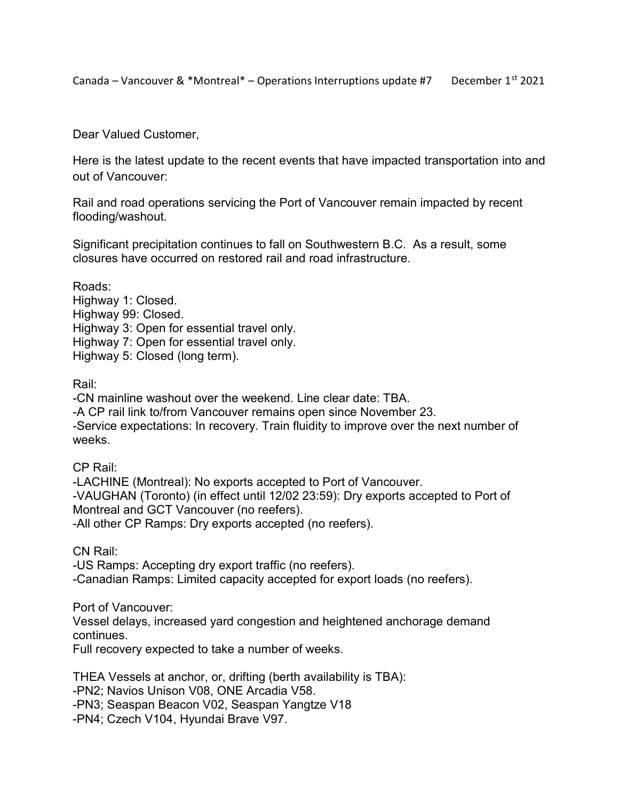Canada – Vancouver & \*Montreal\* – Operations Interruptions update #7 December  $1^{st}$  2021

Dear Valued Customer,

Here is the latest update to the recent events that have impacted transportation into and out of Vancouver:

Rail and road operations servicing the Port of Vancouver remain impacted by recent flooding/washout.

Significant precipitation continues to fall on Southwestern B.C. As a result, some closures have occurred on restored rail and road infrastructure.

Roads: Highway 1: Closed. Highway 99: Closed. Highway 3: Open for essential travel only. Highway 7: Open for essential travel only. Highway 5: Closed (long term).

Rail:

-CN mainline washout over the weekend. Line clear date: TBA. -A CP rail link to/from Vancouver remains open since November 23. -Service expectations: In recovery. Train fluidity to improve over the next number of weeks.

CP Rail:

-LACHINE (Montreal): No exports accepted to Port of Vancouver. -VAUGHAN (Toronto) (in effect until 12/02 23:59): Dry exports accepted to Port of Montreal and GCT Vancouver (no reefers). -All other CP Ramps: Dry exports accepted (no reefers).

CN Rail:

-US Ramps: Accepting dry export traffic (no reefers). -Canadian Ramps: Limited capacity accepted for export loads (no reefers).

Port of Vancouver:

Vessel delays, increased yard congestion and heightened anchorage demand continues.

Full recovery expected to take a number of weeks.

THEA Vessels at anchor, or, drifting (berth availability is TBA): -PN2; Navios Unison V08, ONE Arcadia V58. -PN3; Seaspan Beacon V02, Seaspan Yangtze V18 -PN4; Czech V104, Hyundai Brave V97.